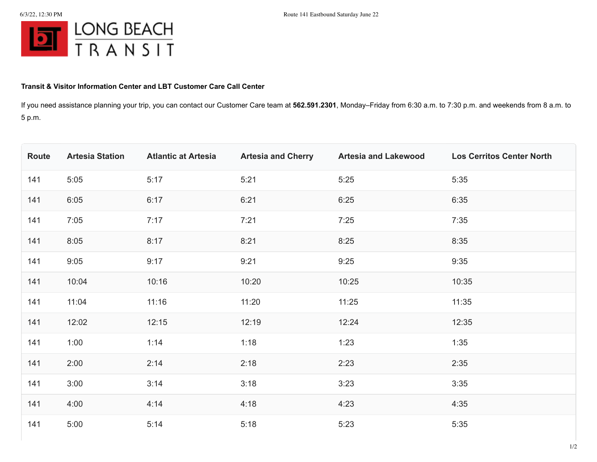

## **Transit & Visitor Information Center and LBT Customer Care Call Center**

If you need assistance planning your trip, you can contact our Customer Care team at **562.591.2301**, Monday–Friday from 6:30 a.m. to 7:30 p.m. and weekends from 8 a.m. to 5 p.m.

| Route | <b>Artesia Station</b> | <b>Atlantic at Artesia</b> | <b>Artesia and Cherry</b> | <b>Artesia and Lakewood</b> | <b>Los Cerritos Center North</b> |
|-------|------------------------|----------------------------|---------------------------|-----------------------------|----------------------------------|
| 141   | 5:05                   | 5:17                       | 5:21                      | 5:25                        | 5:35                             |
| 141   | 6:05                   | 6:17                       | 6:21                      | 6:25                        | 6:35                             |
| 141   | 7:05                   | 7:17                       | 7:21                      | 7:25                        | 7:35                             |
| 141   | 8:05                   | 8:17                       | 8:21                      | 8:25                        | 8:35                             |
| 141   | 9:05                   | 9:17                       | 9:21                      | 9:25                        | 9:35                             |
| 141   | 10:04                  | 10:16                      | 10:20                     | 10:25                       | 10:35                            |
| 141   | 11:04                  | 11:16                      | 11:20                     | 11:25                       | 11:35                            |
| 141   | 12:02                  | 12:15                      | 12:19                     | 12:24                       | 12:35                            |
| 141   | 1:00                   | 1:14                       | 1:18                      | 1:23                        | 1:35                             |
| 141   | 2:00                   | 2:14                       | 2:18                      | 2:23                        | 2:35                             |
| 141   | 3:00                   | 3:14                       | 3:18                      | 3:23                        | 3:35                             |
| 141   | 4:00                   | 4:14                       | 4:18                      | 4:23                        | 4:35                             |
| 141   | 5:00                   | 5:14                       | 5:18                      | 5:23                        | 5:35                             |